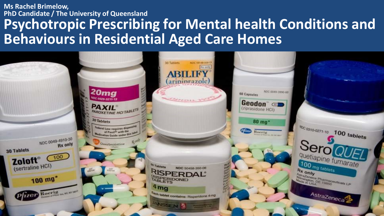#### **Australian Association of Gerontology Ms Rachel Brimelow, PhD Candidate / The University of Queensland Psychotropic Prescribing for Mental health Conditions and Behaviours in Residential Aged Care Homes**

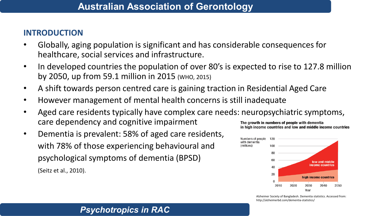## **INTRODUCTION**

- Globally, aging population is significant and has considerable consequences for healthcare, social services and infrastructure.
- In developed countries the population of over 80's is expected to rise to 127.8 million by 2050, up from 59.1 million in 2015 (WHO, 2015)
- A shift towards person centred care is gaining traction in Residential Aged Care
- However management of mental health concerns is still inadequate
- Aged care residents typically have complex care needs: neuropsychiatric symptoms, care dependency and cognitive impairment The growth in numbers of people with dementia in high income countries and low and middle income countries
- Dementia is prevalent: 58% of aged care residents, with 78% of those experiencing behavioural and psychological symptoms of dementia (BPSD) (Seitz et al., 2010).



Alzheimer Society of Bangladesh. Dementia statistics. Accessed from: http://alzheimerbd.com/dementia-statistics/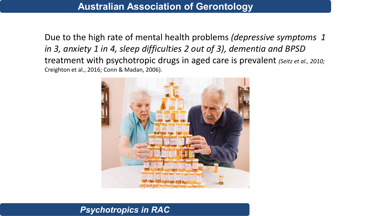Due to the high rate of mental health problems *(depressive symptoms 1 in 3, anxiety 1 in 4, sleep difficulties 2 out of 3), dementia and BPSD*  treatment with psychotropic drugs in aged care is prevalent *(Seitz et al., 2010;*  Creighton et al., 2016; Conn & Madan, 2006).

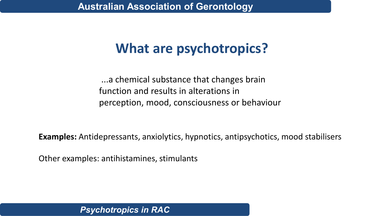## **What are psychotropics?**

...a chemical substance that changes brain function and results in alterations in perception, mood, consciousness or behaviour

**Examples:** Antidepressants, anxiolytics, hypnotics, antipsychotics, mood stabilisers

Other examples: antihistamines, stimulants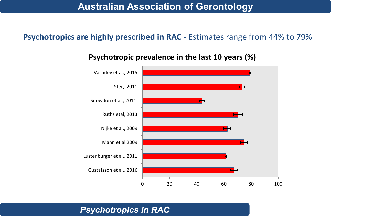## **Psychotropics are highly prescribed in RAC -** Estimates range from 44% to 79%

![](_page_4_Figure_2.jpeg)

#### **Psychotropic prevalence in the last 10 years (%)**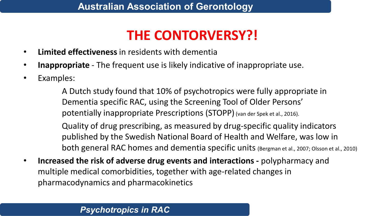# **THE CONTORVERSY?!**

- **Limited effectiveness** in residents with dementia
- **Inappropriate** The frequent use is likely indicative of inappropriate use.
- Examples:

A Dutch study found that 10% of psychotropics were fully appropriate in Dementia specific RAC, using the Screening Tool of Older Persons' potentially inappropriate Prescriptions (STOPP)(van der Spek et al., 2016).

Quality of drug prescribing, as measured by drug-specific quality indicators published by the Swedish National Board of Health and Welfare, was low in both general RAC homes and dementia specific units (Bergman et al., 2007; Olsson et al., 2010)

• **Increased the risk of adverse drug events and interactions -** polypharmacy and multiple medical comorbidities, together with age-related changes in pharmacodynamics and pharmacokinetics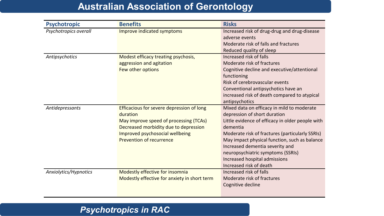| <b>Psychotropic</b>   | <b>Benefits</b>                              | <b>Risks</b>                                     |
|-----------------------|----------------------------------------------|--------------------------------------------------|
| Psychotropics overall | Improve indicated symptoms                   | Increased risk of drug-drug and drug-disease     |
|                       |                                              | adverse events                                   |
|                       |                                              | Moderate risk of falls and fractures             |
|                       |                                              | Reduced quality of sleep                         |
| Antipsychotics        | Modest efficacy treating psychosis,          | Increased risk of falls                          |
|                       | aggression and agitation                     | Moderate risk of fractures                       |
|                       | Few other options                            | Cognitive decline and executive/attentional      |
|                       |                                              | functioning                                      |
|                       |                                              | Risk of cerebrovascular events                   |
|                       |                                              | Conventional antipsychotics have an              |
|                       |                                              | increased risk of death compared to atypical     |
|                       |                                              | antipsychotics                                   |
| Antidepressants       | Efficacious for severe depression of long    | Mixed data on efficacy in mild to moderate       |
|                       | duration                                     | depression of short duration                     |
|                       | May improve speed of processing (TCAs)       | Little evidence of efficacy in older people with |
|                       | Decreased morbidity due to depression        | dementia                                         |
|                       | Improved psychosocial wellbeing              | Moderate risk of fractures (particularly SSRIs)  |
|                       | Prevention of recurrence                     | May impact physical function, such as balance    |
|                       |                                              | Increased dementia severity and                  |
|                       |                                              | neuropsychiatric symptoms (SSRIs)                |
|                       |                                              | Increased hospital admissions                    |
|                       |                                              | Increased risk of death                          |
| Anxiolytics/Hypnotics | Modestly effective for insomnia              | Increased risk of falls                          |
|                       | Modestly effective for anxiety in short term | Moderate risk of fractures                       |
|                       |                                              | Cognitive decline                                |
|                       |                                              |                                                  |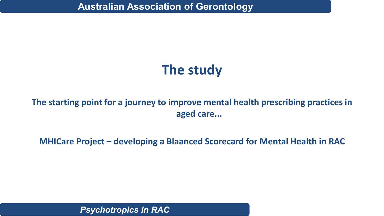# **The study**

**The starting point for a journey to improve mental health prescribing practices in aged care...**

**MHICare Project – developing a Blaanced Scorecard for Mental Health in RAC**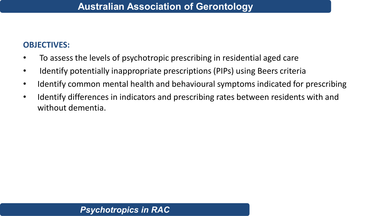## **OBJECTIVES:**

- To assess the levels of psychotropic prescribing in residential aged care
- Identify potentially inappropriate prescriptions (PIPs) using Beers criteria
- Identify common mental health and behavioural symptoms indicated for prescribing
- Identify differences in indicators and prescribing rates between residents with and without dementia.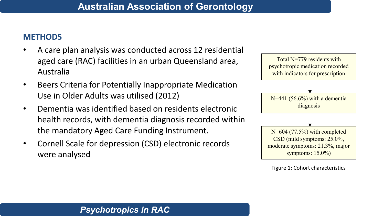## **METHODS**

- A care plan analysis was conducted across 12 residential aged care (RAC) facilities in an urban Queensland area, Australia
- Beers Criteria for Potentially Inappropriate Medication Use in Older Adults was utilised (2012)
- Dementia was identified based on residents electronic health records, with dementia diagnosis recorded within the mandatory Aged Care Funding Instrument.
- Cornell Scale for depression (CSD) electronic records were analysed

![](_page_9_Figure_6.jpeg)

Figure 1: Cohort characteristics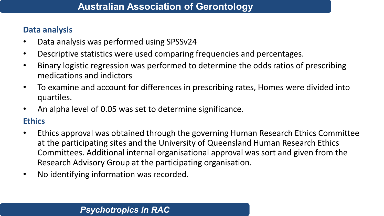### **Data analysis**

- Data analysis was performed using SPSSv24
- Descriptive statistics were used comparing frequencies and percentages.
- Binary logistic regression was performed to determine the odds ratios of prescribing medications and indictors
- To examine and account for differences in prescribing rates, Homes were divided into quartiles.
- An alpha level of 0.05 was set to determine significance.

## **Ethics**

- Ethics approval was obtained through the governing Human Research Ethics Committee at the participating sites and the University of Queensland Human Research Ethics Committees. Additional internal organisational approval was sort and given from the Research Advisory Group at the participating organisation.
- No identifying information was recorded.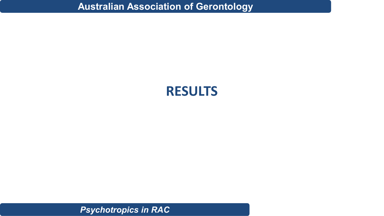## **RESULTS**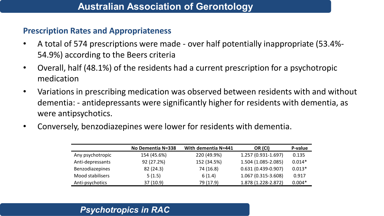#### **Prescription Rates and Appropriateness**

- A total of 574 prescriptions were made over half potentially inappropriate (53.4%- 54.9%) according to the Beers criteria
- Overall, half (48.1%) of the residents had a current prescription for a psychotropic medication
- Variations in prescribing medication was observed between residents with and without dementia: - antidepressants were significantly higher for residents with dementia, as were antipsychotics.
- Conversely, benzodiazepines were lower for residents with dementia.

|                  | No Dementia N=338 | With dementia N=441 | OR (CI)                | P-value  |
|------------------|-------------------|---------------------|------------------------|----------|
| Any psychotropic | 154 (45.6%)       | 220 (49.9%)         | 1.257 (0.931-1.697)    | 0.135    |
| Anti-depressants | 92 (27.2%)        | 152 (34.5%)         | 1.504 (1.085-2.085)    | $0.014*$ |
| Benzodiazepines  | 82 (24.3)         | 74 (16.8)           | $0.631(0.439 - 0.907)$ | $0.013*$ |
| Mood stabilisers | 5(1.5)            | 6(1.4)              | 1.067 (0.315-3.608)    | 0.917    |
| Anti-psychotics  | 37 (10.9)         | 79 (17.9)           | 1.878 (1.228-2.872)    | $0.004*$ |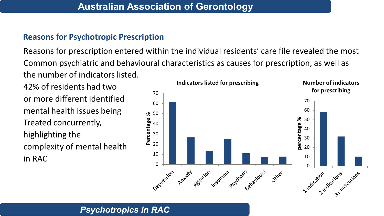## **Reasons for Psychotropic Prescription**

Reasons for prescription entered within the individual residents' care file revealed the most Common psychiatric and behavioural characteristics as causes for prescription, as well as the number of indicators listed.

42% of residents had two or more different identified mental health issues being Treated concurrently, highlighting the complexity of mental health in RAC

![](_page_13_Figure_4.jpeg)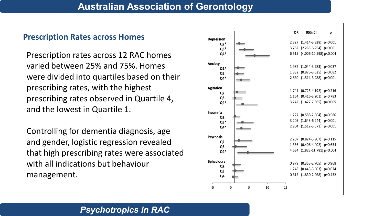#### **Prescription Rates across Homes**

Prescription rates across 12 RAC homes varied between 25% and 75%. Homes were divided into quartiles based on their prescribing rates, with the highest prescribing rates observed in Quartile 4, and the lowest in Quartile 1.

Controlling for dementia diagnosis, age and gender, logistic regression revealed that high prescribing rates were associated with all indications but behaviour management.

![](_page_14_Figure_4.jpeg)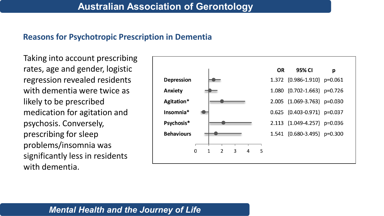#### **Reasons for Psychotropic Prescription in Dementia**

Taking into account prescribing rates, age and gender, logistic regression revealed residents with dementia were twice as likely to be prescribed medication for agitation and psychosis. Conversely, prescribing for sleep problems/insomnia was significantly less in residents with dementia.

![](_page_15_Figure_3.jpeg)

## *Mental Health and the Journey of Life*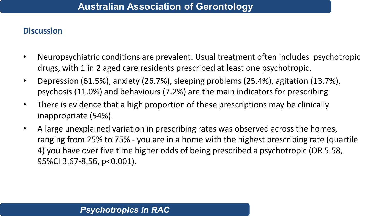#### **Discussion**

- Neuropsychiatric conditions are prevalent. Usual treatment often includes psychotropic drugs, with 1 in 2 aged care residents prescribed at least one psychotropic.
- Depression (61.5%), anxiety (26.7%), sleeping problems (25.4%), agitation (13.7%), psychosis (11.0%) and behaviours (7.2%) are the main indicators for prescribing
- There is evidence that a high proportion of these prescriptions may be clinically inappropriate (54%).
- A large unexplained variation in prescribing rates was observed across the homes, ranging from 25% to 75% - you are in a home with the highest prescribing rate (quartile 4) you have over five time higher odds of being prescribed a psychotropic (OR 5.58, 95%CI 3.67-8.56, p<0.001).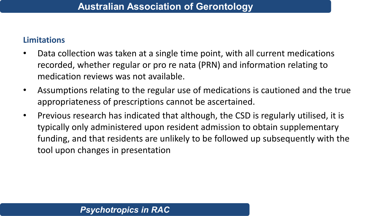## **Limitations**

- Data collection was taken at a single time point, with all current medications recorded, whether regular or pro re nata (PRN) and information relating to medication reviews was not available.
- Assumptions relating to the regular use of medications is cautioned and the true appropriateness of prescriptions cannot be ascertained.
- Previous research has indicated that although, the CSD is regularly utilised, it is typically only administered upon resident admission to obtain supplementary funding, and that residents are unlikely to be followed up subsequently with the tool upon changes in presentation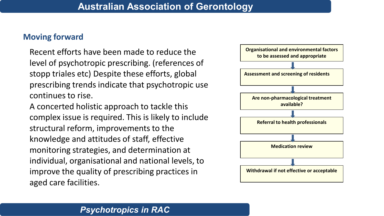## **Moving forward**

Recent efforts have been made to reduce the level of psychotropic prescribing. (references of stopp triales etc) Despite these efforts, global prescribing trends indicate that psychotropic use continues to rise.

A concerted holistic approach to tackle this complex issue is required. This is likely to include structural reform, improvements to the knowledge and attitudes of staff, effective monitoring strategies, and determination at individual, organisational and national levels, to improve the quality of prescribing practices in aged care facilities.

![](_page_18_Figure_4.jpeg)